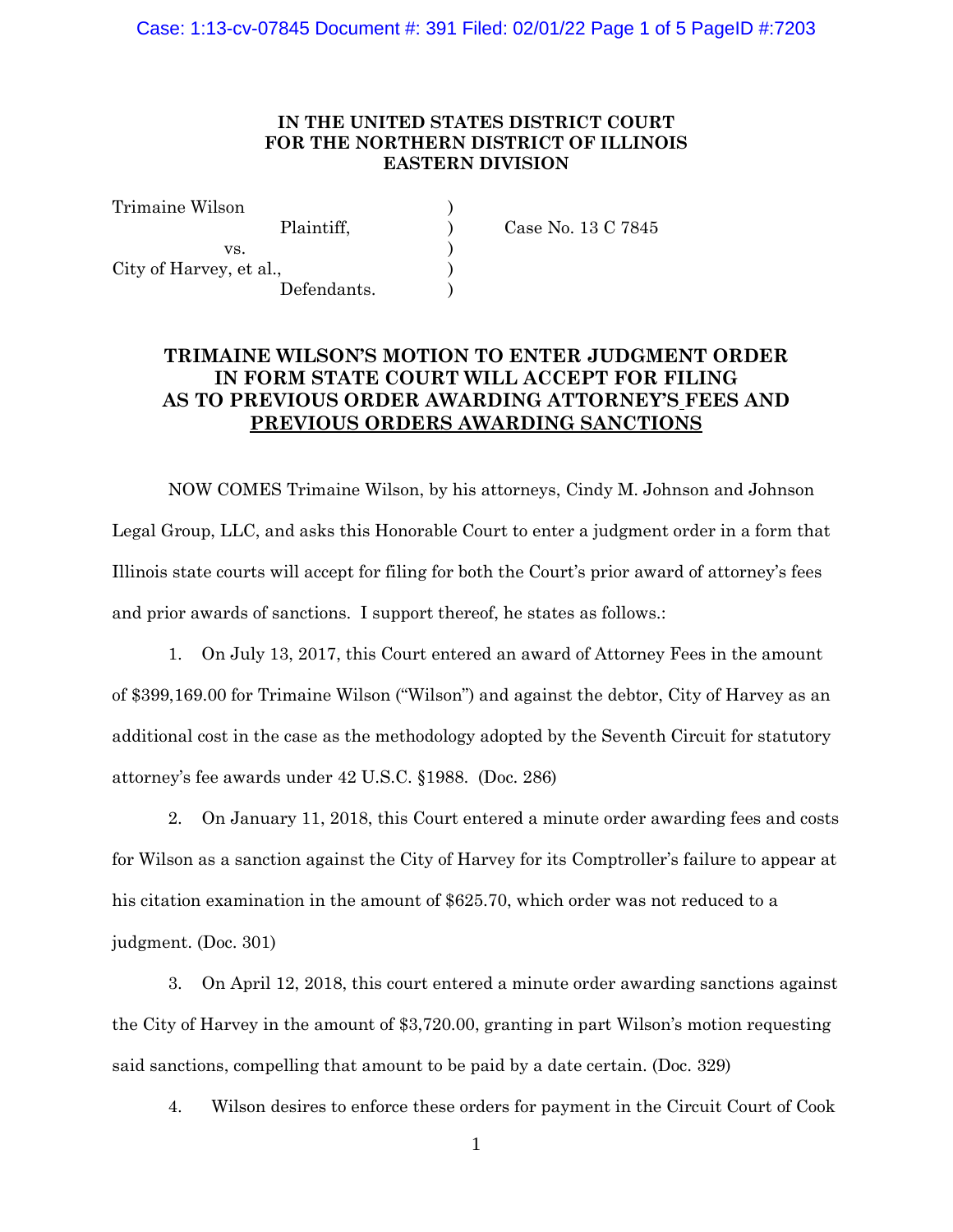### **IN THE UNITED STATES DISTRICT COURT FOR THE NORTHERN DISTRICT OF ILLINOIS EASTERN DIVISION**

C 7845

| Trimaine Wilson         |             |
|-------------------------|-------------|
| Plaintiff.              | Case No. 13 |
| VS.                     |             |
| City of Harvey, et al., |             |
| Defendants.             |             |

# **TRIMAINE WILSON'S MOTION TO ENTER JUDGMENT ORDER IN FORM STATE COURT WILL ACCEPT FOR FILING AS TO PREVIOUS ORDER AWARDING ATTORNEY'S FEES AND PREVIOUS ORDERS AWARDING SANCTIONS**

NOW COMES Trimaine Wilson, by his attorneys, Cindy M. Johnson and Johnson Legal Group, LLC, and asks this Honorable Court to enter a judgment order in a form that Illinois state courts will accept for filing for both the Court's prior award of attorney's fees and prior awards of sanctions. I support thereof, he states as follows.:

1. On July 13, 2017, this Court entered an award of Attorney Fees in the amount of \$399,169.00 for Trimaine Wilson ("Wilson") and against the debtor, City of Harvey as an additional cost in the case as the methodology adopted by the Seventh Circuit for statutory attorney's fee awards under 42 U.S.C. §1988. (Doc. 286)

2. On January 11, 2018, this Court entered a minute order awarding fees and costs for Wilson as a sanction against the City of Harvey for its Comptroller's failure to appear at his citation examination in the amount of \$625.70, which order was not reduced to a judgment. (Doc. 301)

3. On April 12, 2018, this court entered a minute order awarding sanctions against the City of Harvey in the amount of \$3,720.00, granting in part Wilson's motion requesting said sanctions, compelling that amount to be paid by a date certain. (Doc. 329)

4. Wilson desires to enforce these orders for payment in the Circuit Court of Cook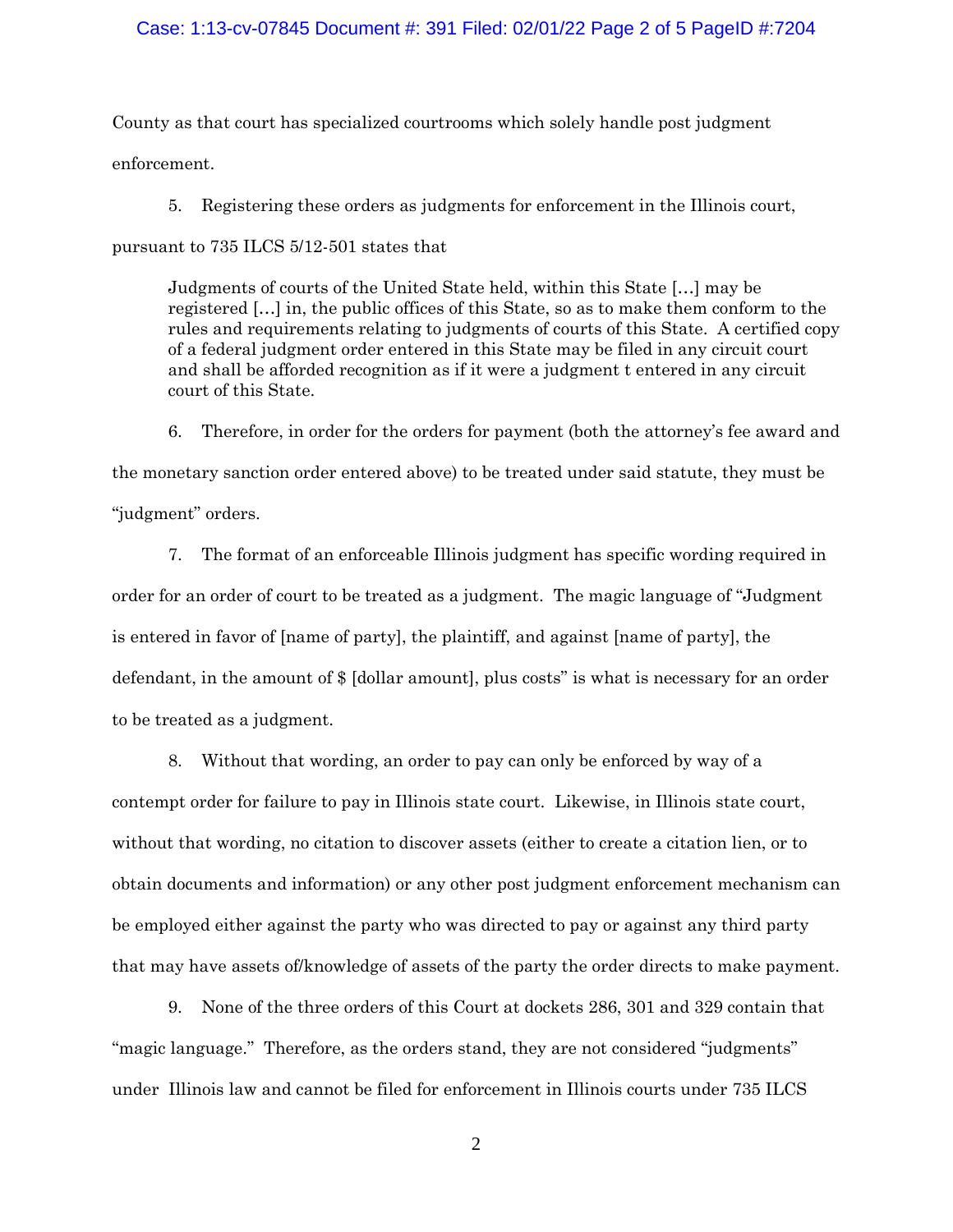#### Case: 1:13-cv-07845 Document #: 391 Filed: 02/01/22 Page 2 of 5 PageID #:7204

County as that court has specialized courtrooms which solely handle post judgment enforcement.

5. Registering these orders as judgments for enforcement in the Illinois court,

pursuant to 735 ILCS 5/12-501 states that

Judgments of courts of the United State held, within this State […] may be registered […] in, the public offices of this State, so as to make them conform to the rules and requirements relating to judgments of courts of this State. A certified copy of a federal judgment order entered in this State may be filed in any circuit court and shall be afforded recognition as if it were a judgment t entered in any circuit court of this State.

6. Therefore, in order for the orders for payment (both the attorney's fee award and the monetary sanction order entered above) to be treated under said statute, they must be "judgment" orders.

7. The format of an enforceable Illinois judgment has specific wording required in order for an order of court to be treated as a judgment. The magic language of "Judgment is entered in favor of [name of party], the plaintiff, and against [name of party], the defendant, in the amount of \$ [dollar amount], plus costs" is what is necessary for an order to be treated as a judgment.

8. Without that wording, an order to pay can only be enforced by way of a contempt order for failure to pay in Illinois state court. Likewise, in Illinois state court, without that wording, no citation to discover assets (either to create a citation lien, or to obtain documents and information) or any other post judgment enforcement mechanism can be employed either against the party who was directed to pay or against any third party that may have assets of/knowledge of assets of the party the order directs to make payment.

9. None of the three orders of this Court at dockets 286, 301 and 329 contain that "magic language." Therefore, as the orders stand, they are not considered "judgments" under Illinois law and cannot be filed for enforcement in Illinois courts under 735 ILCS

2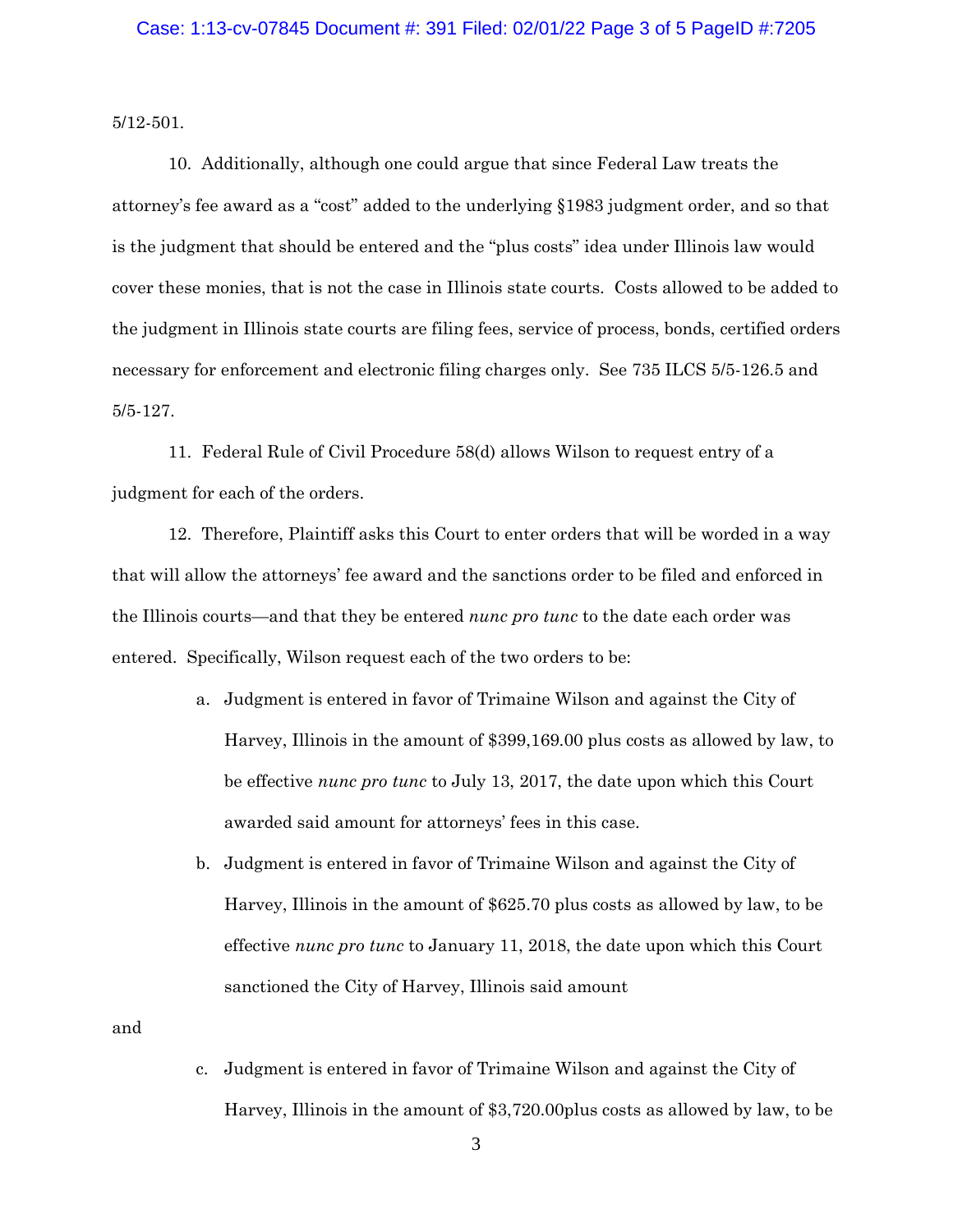5/12-501.

10. Additionally, although one could argue that since Federal Law treats the attorney's fee award as a "cost" added to the underlying §1983 judgment order, and so that is the judgment that should be entered and the "plus costs" idea under Illinois law would cover these monies, that is not the case in Illinois state courts. Costs allowed to be added to the judgment in Illinois state courts are filing fees, service of process, bonds, certified orders necessary for enforcement and electronic filing charges only. See 735 ILCS 5/5-126.5 and 5/5-127.

11. Federal Rule of Civil Procedure 58(d) allows Wilson to request entry of a judgment for each of the orders.

12. Therefore, Plaintiff asks this Court to enter orders that will be worded in a way that will allow the attorneys' fee award and the sanctions order to be filed and enforced in the Illinois courts—and that they be entered *nunc pro tunc* to the date each order was entered. Specifically, Wilson request each of the two orders to be:

- a. Judgment is entered in favor of Trimaine Wilson and against the City of Harvey, Illinois in the amount of \$399,169.00 plus costs as allowed by law, to be effective *nunc pro tunc* to July 13, 2017, the date upon which this Court awarded said amount for attorneys' fees in this case.
- b. Judgment is entered in favor of Trimaine Wilson and against the City of Harvey, Illinois in the amount of \$625.70 plus costs as allowed by law, to be effective *nunc pro tunc* to January 11, 2018, the date upon which this Court sanctioned the City of Harvey, Illinois said amount

and

c. Judgment is entered in favor of Trimaine Wilson and against the City of Harvey, Illinois in the amount of \$3,720.00plus costs as allowed by law, to be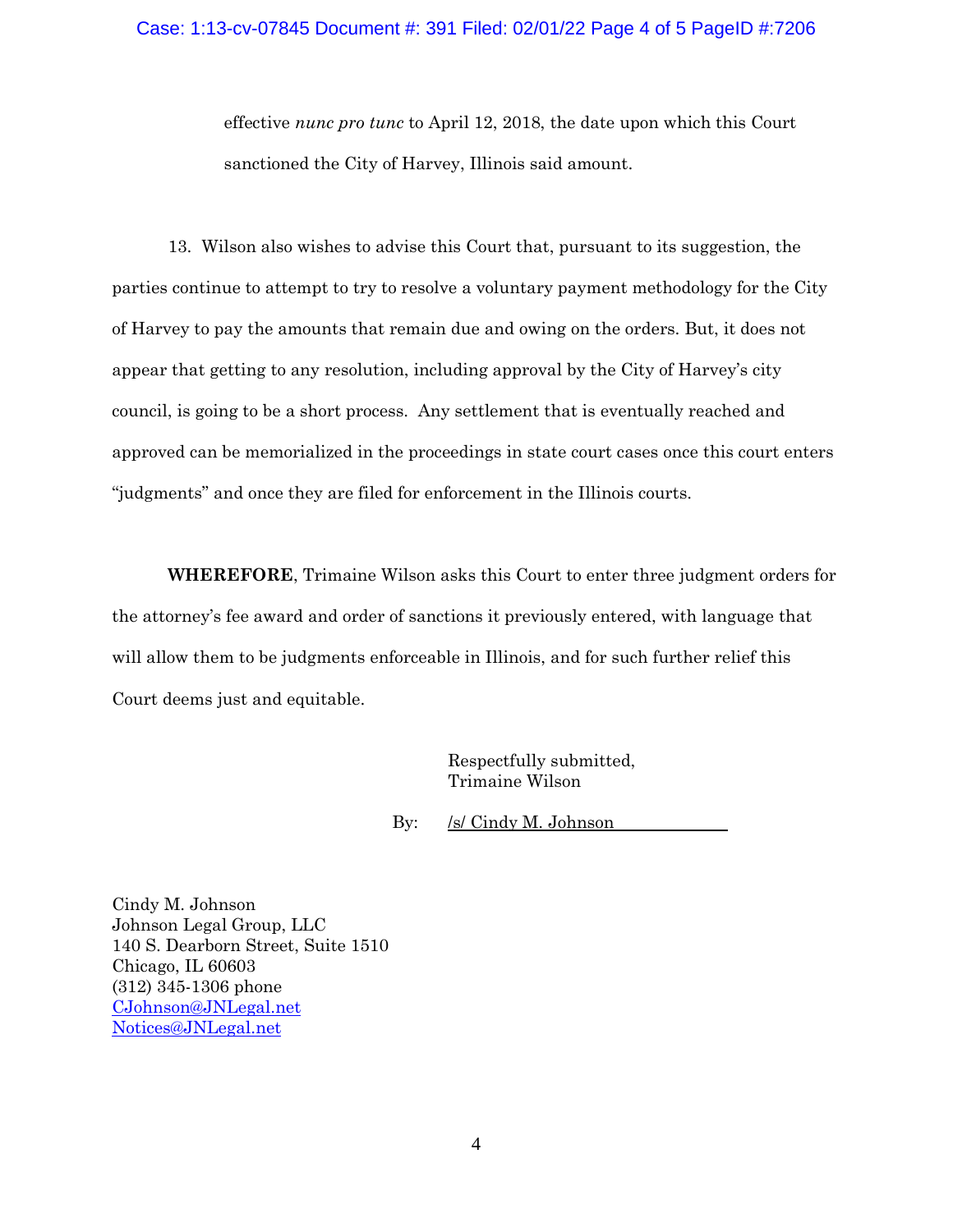effective *nunc pro tunc* to April 12, 2018, the date upon which this Court sanctioned the City of Harvey, Illinois said amount.

13. Wilson also wishes to advise this Court that, pursuant to its suggestion, the parties continue to attempt to try to resolve a voluntary payment methodology for the City of Harvey to pay the amounts that remain due and owing on the orders. But, it does not appear that getting to any resolution, including approval by the City of Harvey's city council, is going to be a short process. Any settlement that is eventually reached and approved can be memorialized in the proceedings in state court cases once this court enters "judgments" and once they are filed for enforcement in the Illinois courts.

**WHEREFORE**, Trimaine Wilson asks this Court to enter three judgment orders for the attorney's fee award and order of sanctions it previously entered, with language that will allow them to be judgments enforceable in Illinois, and for such further relief this Court deems just and equitable.

> Respectfully submitted, Trimaine Wilson

By: /s/ Cindy M. Johnson

Cindy M. Johnson Johnson Legal Group, LLC 140 S. Dearborn Street, Suite 1510 Chicago, IL 60603 (312) 345-1306 phone [CJohnson@JNLegal.net](mailto:CJohnson@JNLegal.net) Notices@JNLegal.net